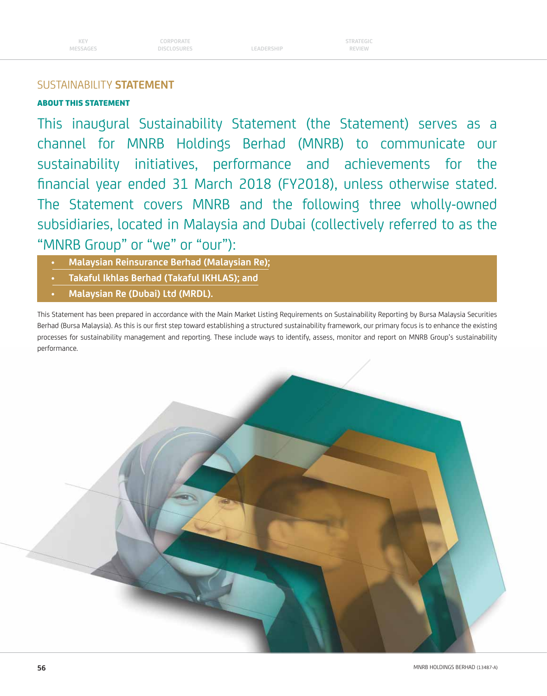## ABOUT THIS STATEMENT

This inaugural Sustainability Statement (the Statement) serves as a channel for MNRB Holdings Berhad (MNRB) to communicate our sustainability initiatives, performance and achievements for the financial year ended 31 March 2018 (FY2018), unless otherwise stated. The Statement covers MNRB and the following three wholly-owned subsidiaries, located in Malaysia and Dubai (collectively referred to as the "MNRB Group" or "we" or "our"):

- **Malaysian Reinsurance Berhad (Malaysian Re);**
- **Takaful Ikhlas Berhad (Takaful IKHLAS); and**
- **Malaysian Re (Dubai) Ltd (MRDL).**

This Statement has been prepared in accordance with the Main Market Listing Requirements on Sustainability Reporting by Bursa Malaysia Securities Berhad (Bursa Malaysia). As this is our first step toward establishing a structured sustainability framework, our primary focus is to enhance the existing processes for sustainability management and reporting. These include ways to identify, assess, monitor and report on MNRB Group's sustainability performance.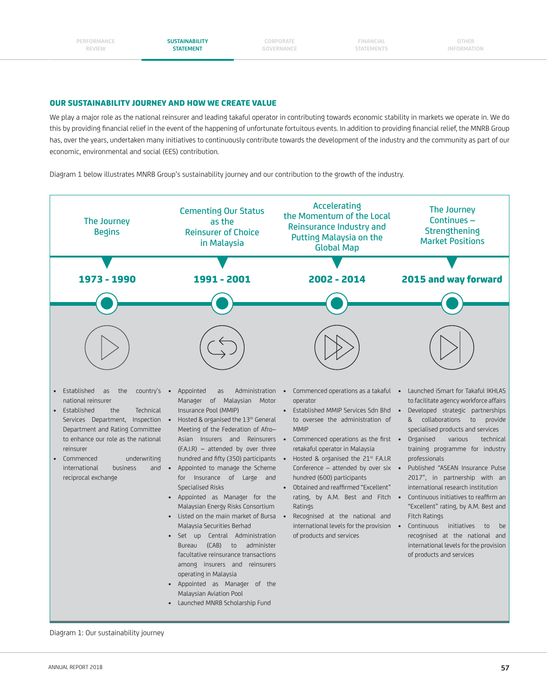**CORPORATE GOVERNANCE**

**FINANCIAL STATEMENTS**

**OTHER INFORMATION**

#### OUR SUSTAINABILITY JOURNEY AND HOW WE CREATE VALUE

We play a major role as the national reinsurer and leading takaful operator in contributing towards economic stability in markets we operate in. We do this by providing financial relief in the event of the happening of unfortunate fortuitous events. In addition to providing financial relief, the MNRB Group has, over the years, undertaken many initiatives to continuously contribute towards the development of the industry and the community as part of our economic, environmental and social (EES) contribution.

Diagram 1 below illustrates MNRB Group's sustainability journey and our contribution to the growth of the industry.



Diagram 1: Our sustainability journey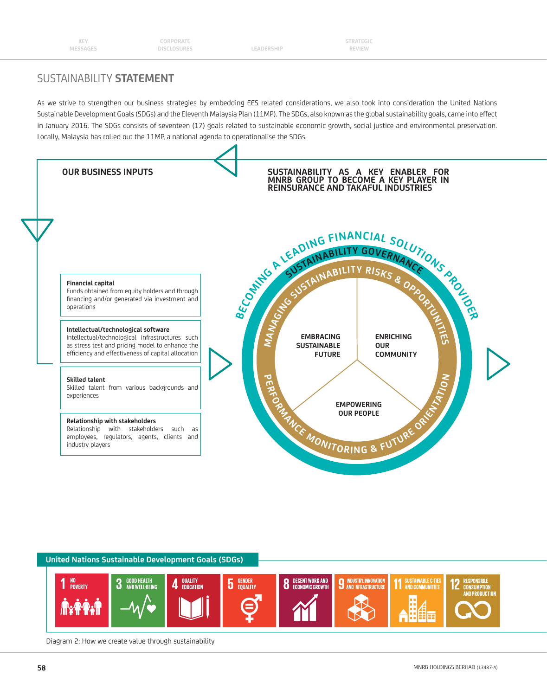**STRATEGIC REVIEW**

## SUSTAINABILITY **STATEMENT**

As we strive to strengthen our business strategies by embedding EES related considerations, we also took into consideration the United Nations Sustainable Development Goals (SDGs) and the Eleventh Malaysia Plan (11MP). The SDGs, also known as the global sustainability goals, came into effect in January 2016. The SDGs consists of seventeen (17) goals related to sustainable economic growth, social justice and environmental preservation. Locally, Malaysia has rolled out the 11MP, a national agenda to operationalise the SDGs.



#### **United Nations Sustainable Development Goals (SDGs)** NO<br>POVERTY **GOOD HEALTH**<br>And Well-rei **OUALITY 5** GENDER **DECENT WORK AND INDUSTRY, INNOVATION ISTAINABLE CITIES 8** DECENT WORK AND<br>**8** Economic growth 3 AND INFRASTRUCTURE

Diagram 2: How we create value through sustainability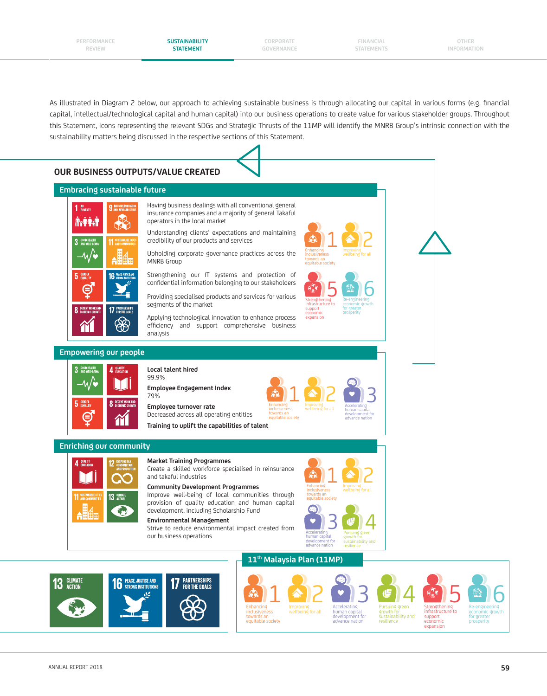**CORPORATE GOVERNANCE**

**FINANCIAL STATEMENTS**

**OTHER INFORMATION**

As illustrated in Diagram 2 below, our approach to achieving sustainable business is through allocating our capital in various forms (e.g. financial capital, intellectual/technological capital and human capital) into our business operations to create value for various stakeholder groups. Throughout this Statement, icons representing the relevant SDGs and Strategic Thrusts of the 11MP will identify the MNRB Group's intrinsic connection with the sustainability matters being discussed in the respective sections of this Statement.



6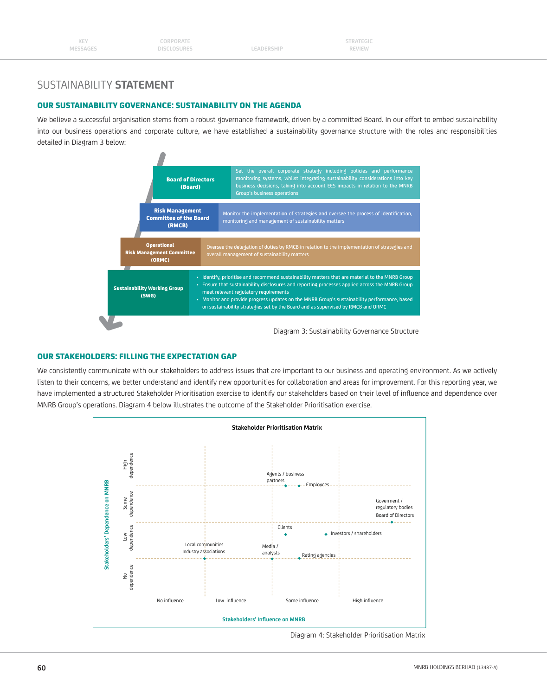## OUR SUSTAINABILITY GOVERNANCE: SUSTAINABILITY ON THE AGENDA

We believe a successful organisation stems from a robust governance framework, driven by a committed Board. In our effort to embed sustainability into our business operations and corporate culture, we have established a sustainability governance structure with the roles and responsibilities detailed in Diagram 3 below:



Diagram 3: Sustainability Governance Structure

### OUR STAKEHOLDERS: FILLING THE EXPECTATION GAP

We consistently communicate with our stakeholders to address issues that are important to our business and operating environment. As we actively listen to their concerns, we better understand and identify new opportunities for collaboration and areas for improvement. For this reporting year, we have implemented a structured Stakeholder Prioritisation exercise to identify our stakeholders based on their level of influence and dependence over MNRB Group's operations. Diagram 4 below illustrates the outcome of the Stakeholder Prioritisation exercise.



Diagram 4: Stakeholder Prioritisation Matrix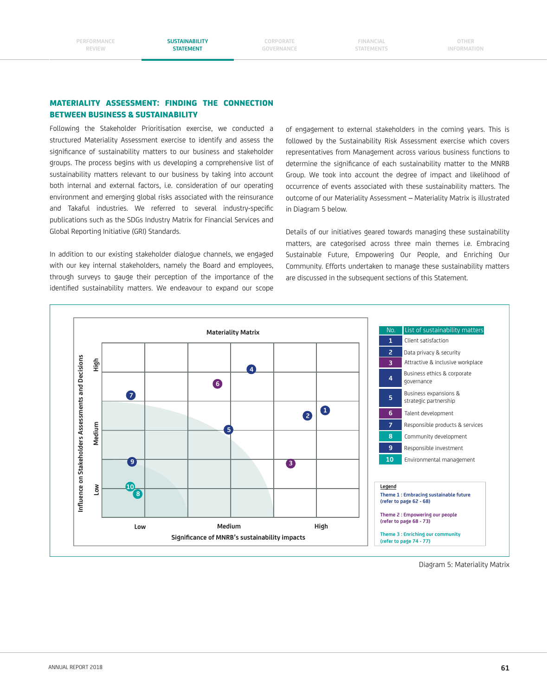**CORPORATE GOVERNANCE**

**FINANCIAL STATEMENTS**

**OTHER INFORMATION**

### MATERIALITY ASSESSMENT: FINDING THE CONNECTION BETWEEN BUSINESS & SUSTAINABILITY

Following the Stakeholder Prioritisation exercise, we conducted a structured Materiality Assessment exercise to identify and assess the significance of sustainability matters to our business and stakeholder groups. The process begins with us developing a comprehensive list of sustainability matters relevant to our business by taking into account both internal and external factors, i.e. consideration of our operating environment and emerging global risks associated with the reinsurance and Takaful industries. We referred to several industry-specific publications such as the SDGs Industry Matrix for Financial Services and Global Reporting Initiative (GRI) Standards.

In addition to our existing stakeholder dialogue channels, we engaged with our key internal stakeholders, namely the Board and employees, through surveys to gauge their perception of the importance of the identified sustainability matters. We endeavour to expand our scope

of engagement to external stakeholders in the coming years. This is followed by the Sustainability Risk Assessment exercise which covers representatives from Management across various business functions to determine the significance of each sustainability matter to the MNRB Group. We took into account the degree of impact and likelihood of occurrence of events associated with these sustainability matters. The outcome of our Materiality Assessment – Materiality Matrix is illustrated in Diagram 5 below.

Details of our initiatives geared towards managing these sustainability matters, are categorised across three main themes i.e. Embracing Sustainable Future, Empowering Our People, and Enriching Our Community. Efforts undertaken to manage these sustainability matters are discussed in the subsequent sections of this Statement.



Diagram 5: Materiality Matrix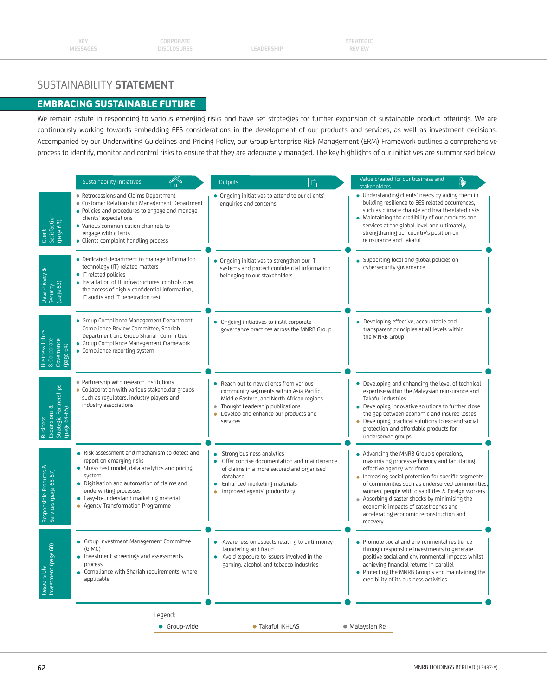## EMBRACING SUSTAINABLE FUTURE

We remain astute in responding to various emerging risks and have set strategies for further expansion of sustainable product offerings. We are continuously working towards embedding EES considerations in the development of our products and services, as well as investment decisions. Accompanied by our Underwriting Guidelines and Pricing Policy, our Group Enterprise Risk Management (ERM) Framework outlines a comprehensive process to identify, monitor and control risks to ensure that they are adequately managed. The key highlights of our initiatives are summarised below:

|                                                                           | Sustainability initiatives                                                                                                                                                                                                                                                                      | $\overrightarrow{ }$<br>Outputs                                                                                                                                                                                        | Value created for our business and<br>顺<br>stakeholders                                                                                                                                                                                                                                                                                                                                                                                 |
|---------------------------------------------------------------------------|-------------------------------------------------------------------------------------------------------------------------------------------------------------------------------------------------------------------------------------------------------------------------------------------------|------------------------------------------------------------------------------------------------------------------------------------------------------------------------------------------------------------------------|-----------------------------------------------------------------------------------------------------------------------------------------------------------------------------------------------------------------------------------------------------------------------------------------------------------------------------------------------------------------------------------------------------------------------------------------|
| Satisfaction<br>(page 63)<br>Client                                       | • Retrocessions and Claims Department<br>· Customer Relationship Management Department<br>. Policies and procedures to engage and manage<br>clients' expectations<br>• Various communication channels to<br>engage with clients<br>• Clients complaint handling process                         | • Ongoing initiatives to attend to our clients'<br>enquiries and concerns                                                                                                                                              | • Understanding clients' needs by aiding them in<br>building resilience to EES-related occurrences,<br>such as climate change and health-related risks<br>• Maintaining the credibility of our products and<br>services at the global level and ultimately,<br>strengthening our country's position on<br>reinsurance and Takaful                                                                                                       |
| Data Privacy &<br>Security<br>(page 63)                                   | • Dedicated department to manage information<br>technology (IT) related matters<br>• IT related policies<br>. Installation of IT infrastructures, controls over<br>the access of highly confidential information,<br>IT audits and IT penetration test                                          | • Ongoing initiatives to strengthen our IT<br>systems and protect confidential information<br>belonging to our stakeholders                                                                                            | Supporting local and global policies on<br>cybersecurity governance                                                                                                                                                                                                                                                                                                                                                                     |
| <b>Business Ethics</b><br>& Corporate<br>Governance<br>(page 64)          | • Group Compliance Management Department,<br>Compliance Review Committee, Shariah<br>Department and Group Shariah Committee<br>• Group Compliance Management Framework<br>• Compliance reporting system                                                                                         | • Ongoing initiatives to instil corporate<br>governance practices across the MNRB Group                                                                                                                                | • Developing effective, accountable and<br>transparent principles at all levels within<br>the MNRB Group                                                                                                                                                                                                                                                                                                                                |
| Expansions &<br>Strategic Partnerships<br>(page 64-65)<br><b>Business</b> | • Partnership with research institutions<br>• Collaboration with various stakeholder groups<br>such as regulators, industry players and<br>industry associations                                                                                                                                | Reach out to new clients from various<br>community segments within Asia Pacific,<br>Middle Eastern, and North African regions<br>• Thought Leadership publications<br>Develop and enhance our products and<br>services | • Developing and enhancing the level of technical<br>expertise within the Malaysian reinsurance and<br>Takaful industries<br>• Developing innovative solutions to further close<br>the gap between economic and insured losses<br>• Developing practical solutions to expand social<br>protection and affordable products for<br>underserved groups                                                                                     |
| Responsible Products &<br>Services (page 65-67)                           | • Risk assessment and mechanism to detect and<br>report on emerging risks<br>• Stress test model, data analytics and pricing<br>system<br>• Digitisation and automation of claims and<br>underwriting processes<br>• Easy-to-understand marketing material<br>• Agency Transformation Programme | Strong business analytics<br>$\bullet$<br>Offer concise documentation and maintenance<br>of claims in a more secured and organised<br>database<br>Enhanced marketing materials<br>۰<br>Improved agents' productivity   | • Advancing the MNRB Group's operations,<br>maximising process efficiency and facilitating<br>effective agency workforce<br>Increasing social protection for specific segments<br>of communities such as underserved communities,<br>women, people with disabilities & foreign workers<br>• Absorbing disaster shocks by minimising the<br>economic impacts of catastrophes and<br>accelerating economic reconstruction and<br>recovery |
| page 68)<br>Responsible<br>Investment                                     | • Group Investment Management Committee<br>(GIMC)<br>• Investment screenings and assessments<br>• Compliance with Shariah requirements, where<br>applicable                                                                                                                                     | Awareness on aspects relating to anti-money<br>laundering and fraud<br>Avoid exposure to issuers involved in the<br>gaming, alcohol and tobacco industries                                                             | Promote social and environmental resilience<br>through responsible investments to generate<br>positive social and environmental impacts whilst<br>achieving financial returns in parallel<br>• Protecting the MNRB Group's and maintaining the<br>credibility of its business activities                                                                                                                                                |
|                                                                           | Legend:                                                                                                                                                                                                                                                                                         |                                                                                                                                                                                                                        |                                                                                                                                                                                                                                                                                                                                                                                                                                         |
|                                                                           | • Group-wide                                                                                                                                                                                                                                                                                    | • Takaful IKHLAS                                                                                                                                                                                                       | • Malaysian Re                                                                                                                                                                                                                                                                                                                                                                                                                          |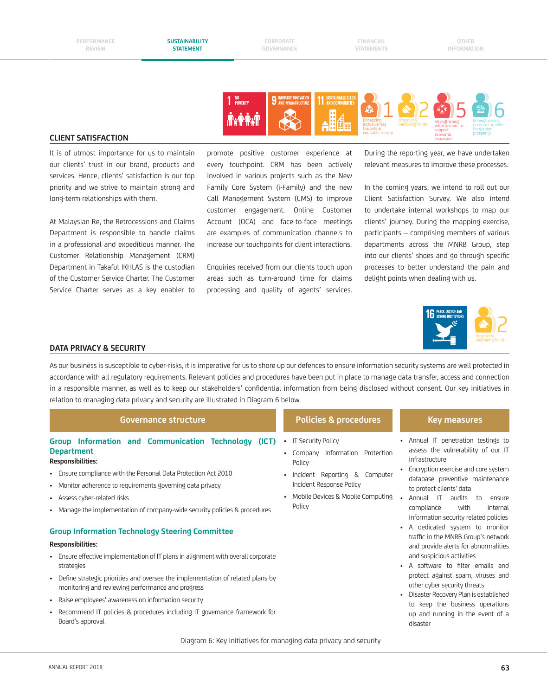**CORPORATE GOVERNANCE**

**FINANCIAL STATEMENTS**



#### **CLIENT SATISFACTION**

It is of utmost importance for us to maintain our clients' trust in our brand, products and services. Hence, clients' satisfaction is our top priority and we strive to maintain strong and long-term relationships with them.

At Malaysian Re, the Retrocessions and Claims Department is responsible to handle claims in a professional and expeditious manner. The Customer Relationship Management (CRM) Department in Takaful IKHLAS is the custodian of the Customer Service Charter. The Customer Service Charter serves as a key enabler to

promote positive customer experience at every touchpoint. CRM has been actively involved in various projects such as the New Family Core System (i-Family) and the new Call Management System (CMS) to improve customer engagement. Online Customer Account (OCA) and face-to-face meetings are examples of communication channels to increase our touchpoints for client interactions.

Enquiries received from our clients touch upon areas such as turn-around time for claims processing and quality of agents' services.

During the reporting year, we have undertaken relevant measures to improve these processes.

In the coming years, we intend to roll out our Client Satisfaction Survey. We also intend to undertake internal workshops to map our clients' journey. During the mapping exercise, participants – comprising members of various departments across the MNRB Group, step into our clients' shoes and go through specific processes to better understand the pain and delight points when dealing with us.



#### **DATA PRIVACY & SECURITY**

As our business is susceptible to cyber-risks, it is imperative for us to shore up our defences to ensure information security systems are well protected in accordance with all regulatory requirements. Relevant policies and procedures have been put in place to manage data transfer, access and connection in a responsible manner, as well as to keep our stakeholders' confidential information from being disclosed without consent. Our key initiatives in relation to managing data privacy and security are illustrated in Diagram 6 below.

| Governance structure                                                                                                                                                                                                                                                                                                                                                                                                                                                                                                                                                                                                                                                                                                                                                                                                                 | <b>Policies &amp; procedures</b>                                                                                                                                                               | <b>Key measures</b>                                                                                                                                                                                                                                                                                                                                                                                                                                                                                                                                                                                                                                                                                                  |
|--------------------------------------------------------------------------------------------------------------------------------------------------------------------------------------------------------------------------------------------------------------------------------------------------------------------------------------------------------------------------------------------------------------------------------------------------------------------------------------------------------------------------------------------------------------------------------------------------------------------------------------------------------------------------------------------------------------------------------------------------------------------------------------------------------------------------------------|------------------------------------------------------------------------------------------------------------------------------------------------------------------------------------------------|----------------------------------------------------------------------------------------------------------------------------------------------------------------------------------------------------------------------------------------------------------------------------------------------------------------------------------------------------------------------------------------------------------------------------------------------------------------------------------------------------------------------------------------------------------------------------------------------------------------------------------------------------------------------------------------------------------------------|
| Group Information and Communication Technology (ICT)<br><b>Department</b><br>Responsibilities:<br>• Ensure compliance with the Personal Data Protection Act 2010<br>• Monitor adherence to requirements governing data privacy<br>• Assess cyber-related risks<br>• Manage the implementation of company-wide security policies & procedures<br><b>Group Information Technology Steering Committee</b><br>Responsibilities:<br>• Ensure effective implementation of IT plans in alignment with overall corporate<br>strategies<br>• Define strategic priorities and oversee the implementation of related plans by<br>monitoring and reviewing performance and progress<br>• Raise employees' awareness on information security<br>Recommend IT policies & procedures including IT governance framework for<br>٠<br>Board's approval | <b>IT Security Policy</b><br>$\bullet$<br>Company Information Protection<br>Policy<br>Incident Reporting & Computer<br>Incident Response Policy<br>Mobile Devices & Mobile Computing<br>Policy | Annual IT penetration testings to<br>٠<br>assess the vulnerability of our IT<br>infrastructure<br>Encryption exercise and core system<br>database preventive maintenance<br>to protect clients' data<br>Annual IT<br>audits<br>to<br>ensure<br>compliance<br>with<br>internal<br>information security related policies<br>A dedicated system to monitor<br>$\bullet$<br>traffic in the MNRB Group's network<br>and provide alerts for abnormalities<br>and suspicious activities<br>A software to filter emails and<br>protect against spam, viruses and<br>other cyber security threats<br>Disaster Recovery Plan is established<br>to keep the business operations<br>up and running in the event of a<br>disaster |
|                                                                                                                                                                                                                                                                                                                                                                                                                                                                                                                                                                                                                                                                                                                                                                                                                                      |                                                                                                                                                                                                |                                                                                                                                                                                                                                                                                                                                                                                                                                                                                                                                                                                                                                                                                                                      |

Diagram 6: Key initiatives for managing data privacy and security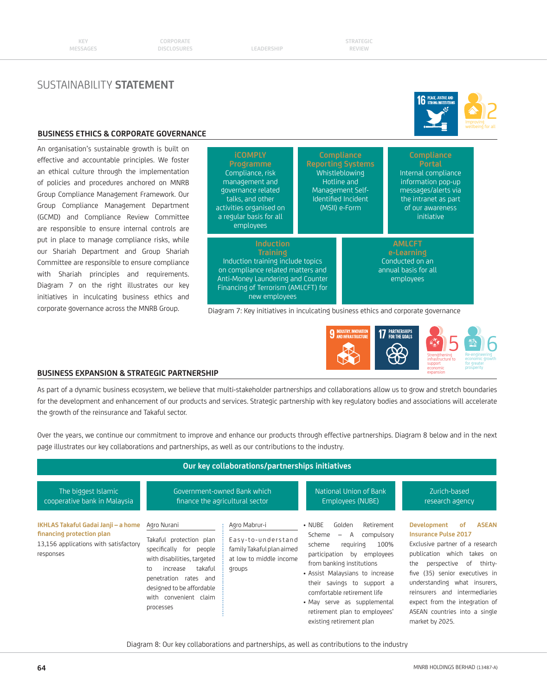## **64** MNRB HOLDINGS BERHAD (13487-A)

| Our key collaborations/partnerships initiatives                                                                        |                                                                                                                                                                                                                           |                                                                                                       |                                                                                                                                                                                                                                                                                                                                                                |                                                                                                                                                                                                                                                                                                                                                                   |
|------------------------------------------------------------------------------------------------------------------------|---------------------------------------------------------------------------------------------------------------------------------------------------------------------------------------------------------------------------|-------------------------------------------------------------------------------------------------------|----------------------------------------------------------------------------------------------------------------------------------------------------------------------------------------------------------------------------------------------------------------------------------------------------------------------------------------------------------------|-------------------------------------------------------------------------------------------------------------------------------------------------------------------------------------------------------------------------------------------------------------------------------------------------------------------------------------------------------------------|
| The biggest Islamic<br>cooperative bank in Malaysia                                                                    |                                                                                                                                                                                                                           | Government-owned Bank which<br>finance the agricultural sector                                        | National Union of Bank<br><b>Employees (NUBE)</b>                                                                                                                                                                                                                                                                                                              | Zurich-based<br>research agency                                                                                                                                                                                                                                                                                                                                   |
| IKHLAS Takaful Gadai Janji - a home<br>financing protection plan<br>13,156 applications with satisfactory<br>responses | Agro Nurani<br>Takaful protection plan<br>specifically for people<br>with disabilities, targeted<br>takaful<br>increase<br>to<br>penetration rates and<br>designed to be affordable<br>with convenient claim<br>processes | Agro Mabrur-i<br>Easy-to-understand<br>family Takaful plan aimed<br>at low to middle income<br>groups | Golden<br>$\cdot$ NUBE<br>Retirement<br>Scheme<br>A<br>compulsory<br>$-$<br>requiring<br>100%<br>scheme<br>participation by employees<br>from banking institutions<br>• Assist Malaysians to increase<br>their savings to support a<br>comfortable retirement life<br>· May serve as supplemental<br>retirement plan to employees'<br>existing retirement plan | <b>ASEAN</b><br>Development<br>of<br><b>Insurance Pulse 2017</b><br>Exclusive partner of a research<br>publication which<br>takes on<br>perspective<br>of thirty-<br>the<br>five (35) senior executives in<br>understanding what insurers,<br>reinsurers and intermediaries<br>expect from the integration of<br>ASEAN countries into a single<br>market by 2025. |

#### **BUSINESS EXPANSION & STRATEGIC PARTNERSHIP**

As part of a dynamic business ecosystem, we believe that multi-stakeholder partnerships and collaborations allow us to grow and stretch boundaries

Over the years, we continue our commitment to improve and enhance our products through effective partnerships. Diagram 8 below and in the next page illustrates our key collaborations and partnerships, as well as our contributions to the industry.

for the development and enhancement of our products and services. Strategic partnership with key regulatory bodies and associations will accelerate the growth of the reinsurance and Takaful sector.

**BUSINESS ETHICS & CORPORATE GOVERNANCE iCOMPLY**  Compliance, risk management and governance related talks, and other activities organised on a regular basis for all employees **Compliance Portal** Internal compliance information pop-up messages/alerts via the intranet as part of our awareness initiative **Induction**  Induction training include topics on compliance related matters and Anti-Money Laundering and Counter Financing of Terrorism (AMLCFT) for new employees **Reporting Systems** Whistleblowing Hotline and Management Self-Identified Incident (MSII) e-Form **AMLCFT**  Conducted on an annual basis for all employees

Diagram 7: Key initiatives in inculcating business ethics and corporate governance





**Strengthening** infrastructure to support economic expansion

Re-engineering economic growth for greater prosperity



An organisation's sustainable growth is built on effective and accountable principles. We foster an ethical culture through the implementation of policies and procedures anchored on MNRB Group Compliance Management Framework. Our Group Compliance Management Department (GCMD) and Compliance Review Committee are responsible to ensure internal controls are put in place to manage compliance risks, while our Shariah Department and Group Shariah Committee are responsible to ensure compliance with Shariah principles and requirements. Diagram 7 on the right illustrates our key initiatives in inculcating business ethics and corporate governance across the MNRB Group.

SUSTAINABILITY **STATEMENT**

**STRATEGIC REVIEW**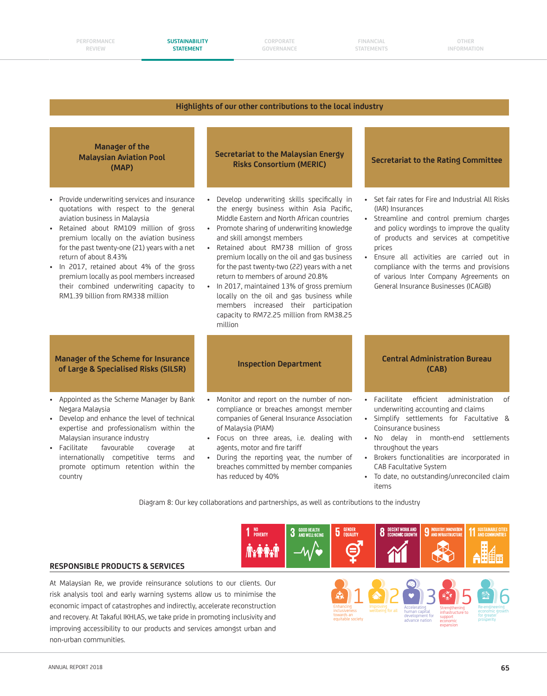#### **PERFORMANCE REVIEW**

**CORPORATE GOVERNANCE**

**FINANCIAL STATEMENTS**

#### **Highlights of our other contributions to the local industry**



- Negara Malaysia • Develop and enhance the level of technical expertise and professionalism within the Malaysian insurance industry
- Facilitate favourable coverage at internationally competitive terms and promote optimum retention within the country
- Monitor and report on the number of noncompliance or breaches amongst member companies of General Insurance Association of Malaysia (PIAM)
- Focus on three areas, i.e. dealing with agents, motor and fire tariff
- During the reporting year, the number of breaches committed by member companies has reduced by 40%

- underwriting accounting and claims
- Simplify settlements for Facultative & Coinsurance business
- No delay in month-end settlements throughout the years
- Brokers functionalities are incorporated in CAB Facultative System
- To date, no outstanding/unreconciled claim items

Diagram 8: Our key collaborations and partnerships, as well as contributions to the industry



#### **RESPONSIBLE PRODUCTS & SERVICES**

At Malaysian Re, we provide reinsurance solutions to our clients. Our risk analysis tool and early warning systems allow us to minimise the economic impact of catastrophes and indirectly, accelerate reconstruction and recovery. At Takaful IKHLAS, we take pride in promoting inclusivity and improving accessibility to our products and services amongst urban and non-urban communities.

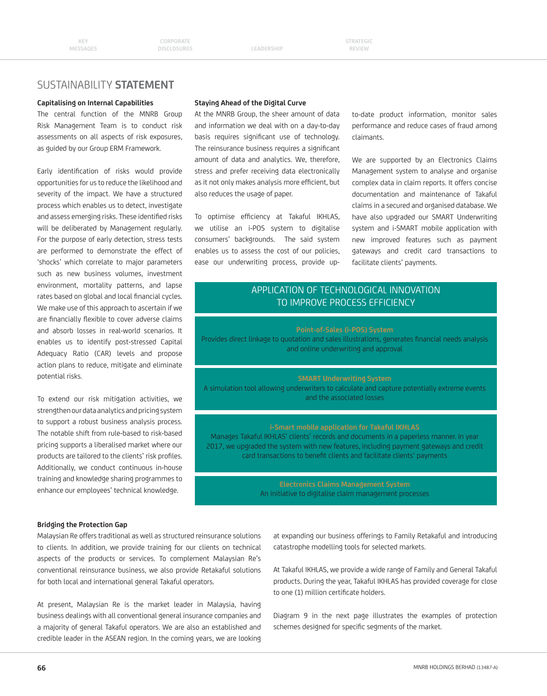#### **Capitalising on Internal Capabilities**

The central function of the MNRB Group Risk Management Team is to conduct risk assessments on all aspects of risk exposures, as guided by our Group ERM Framework.

Early identification of risks would provide opportunities for us to reduce the likelihood and severity of the impact. We have a structured process which enables us to detect, investigate and assess emerging risks. These identified risks will be deliberated by Management regularly. For the purpose of early detection, stress tests are performed to demonstrate the effect of 'shocks' which correlate to major parameters such as new business volumes, investment environment, mortality patterns, and lapse rates based on global and local financial cycles. We make use of this approach to ascertain if we are financially flexible to cover adverse claims and absorb losses in real-world scenarios. It enables us to identify post-stressed Capital Adequacy Ratio (CAR) levels and propose action plans to reduce, mitigate and eliminate potential risks.

To extend our risk mitigation activities, we strengthen our data analytics and pricing system to support a robust business analysis process. The notable shift from rule-based to risk-based pricing supports a liberalised market where our products are tailored to the clients' risk profiles. Additionally, we conduct continuous in-house training and knowledge sharing programmes to enhance our employees' technical knowledge.

#### **Staying Ahead of the Digital Curve**

At the MNRB Group, the sheer amount of data and information we deal with on a day-to-day basis requires significant use of technology. The reinsurance business requires a significant amount of data and analytics. We, therefore, stress and prefer receiving data electronically as it not only makes analysis more efficient, but also reduces the usage of paper.

To optimise efficiency at Takaful IKHLAS, we utilise an i-POS system to digitalise consumers' backgrounds. The said system enables us to assess the cost of our policies, ease our underwriting process, provide upto-date product information, monitor sales performance and reduce cases of fraud among claimants.

We are supported by an Electronics Claims Management system to analyse and organise complex data in claim reports. It offers concise documentation and maintenance of Takaful claims in a secured and organised database. We have also upgraded our SMART Underwriting system and i-SMART mobile application with new improved features such as payment gateways and credit card transactions to facilitate clients' payments.

## APPLICATION OF TECHNOLOGICAL INNOVATION TO IMPROVE PROCESS EFFICIENCY

#### **Point-of-Sales (i-POS) System**

Provides direct linkage to quotation and sales illustrations, generates financial needs analysis and online underwriting and approval

#### **SMART Underwriting System**

A simulation tool allowing underwriters to calculate and capture potentially extreme events and the associated losses

#### **i-Smart mobile application for Takaful IKHLAS**

Manages Takaful IKHLAS' clients' records and documents in a paperless manner. In year 2017, we upgraded the system with new features, including payment gateways and credit card transactions to benefit clients and facilitate clients' payments

An initiative to digitalise claim management processes

#### **Bridging the Protection Gap**

Malaysian Re offers traditional as well as structured reinsurance solutions to clients. In addition, we provide training for our clients on technical aspects of the products or services. To complement Malaysian Re's conventional reinsurance business, we also provide Retakaful solutions for both local and international general Takaful operators.

At present, Malaysian Re is the market leader in Malaysia, having business dealings with all conventional general insurance companies and a majority of general Takaful operators. We are also an established and credible leader in the ASEAN region. In the coming years, we are looking

at expanding our business offerings to Family Retakaful and introducing catastrophe modelling tools for selected markets.

At Takaful IKHLAS, we provide a wide range of Family and General Takaful products. During the year, Takaful IKHLAS has provided coverage for close to one (1) million certificate holders.

Diagram 9 in the next page illustrates the examples of protection schemes designed for specific segments of the market.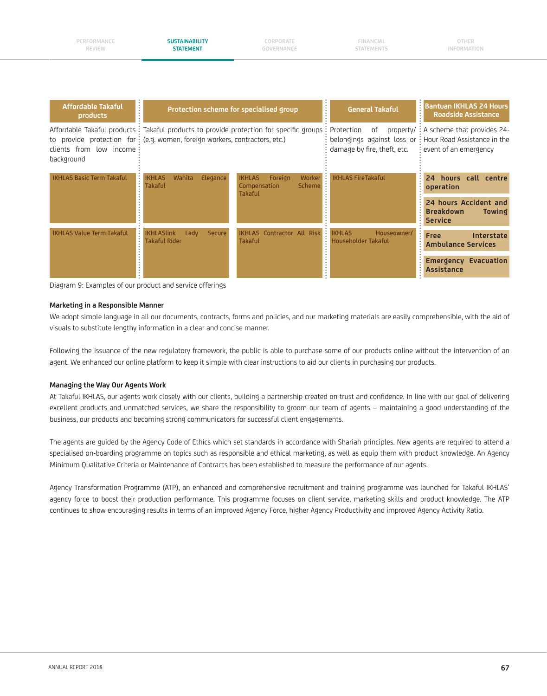**PERFORMANCE REVIEW**

**CORPORATE GOVERNANCE**

**FINANCIAL STATEMENTS**

| <b>Affordable Takaful</b><br>$\bullet$<br>$\bullet$<br>products | Protection scheme for specialised group                                                                                                                                 |                                                                                       | <b>General Takaful</b>                                                        | <b>Bantuan IKHLAS 24 Hours</b><br><b>Roadside Assistance</b>                                       |
|-----------------------------------------------------------------|-------------------------------------------------------------------------------------------------------------------------------------------------------------------------|---------------------------------------------------------------------------------------|-------------------------------------------------------------------------------|----------------------------------------------------------------------------------------------------|
| clients from low income<br>background                           | Affordable Takaful products : Takaful products to provide protection for specific groups<br>to provide protection for: (e.g. women, foreign workers, contractors, etc.) |                                                                                       | Protection<br>0f<br>belongings against loss or<br>damage by fire, theft, etc. | property/ : A scheme that provides 24-<br># Hour Road Assistance in the<br>: event of an emergency |
| <b>IKHLAS Basic Term Takaful</b>                                | Elegance<br><b>IKHLAS</b><br>Wanita<br><b>Takaful</b>                                                                                                                   | Worker<br><b>IKHLAS</b><br>Foreign<br><b>Scheme</b><br>Compensation<br><b>Takaful</b> | <b>IKHLAS FireTakaful</b>                                                     | hours call centre<br>24<br>operation                                                               |
|                                                                 |                                                                                                                                                                         |                                                                                       |                                                                               | 24 hours Accident and<br><b>Breakdown</b><br><b>Towing</b><br><b>Service</b>                       |
| <b>IKHLAS Value Term Takaful</b>                                | <b>IKHLASlink</b><br><b>Secure</b><br>Lady<br>Takaful Rider                                                                                                             | <b>IKHLAS Contractor All Risk</b><br><b>Takaful</b>                                   | <b>IKHLAS</b><br>Houseowner/<br>Householder Takaful                           | Free<br>Interstate<br><b>Ambulance Services</b>                                                    |
|                                                                 |                                                                                                                                                                         |                                                                                       |                                                                               | <b>Emergency Evacuation</b><br><b>Assistance</b>                                                   |

Diagram 9: Examples of our product and service offerings

#### **Marketing in a Responsible Manner**

We adopt simple language in all our documents, contracts, forms and policies, and our marketing materials are easily comprehensible, with the aid of visuals to substitute lengthy information in a clear and concise manner.

Following the issuance of the new regulatory framework, the public is able to purchase some of our products online without the intervention of an agent. We enhanced our online platform to keep it simple with clear instructions to aid our clients in purchasing our products.

#### **Managing the Way Our Agents Work**

At Takaful IKHLAS, our agents work closely with our clients, building a partnership created on trust and confidence. In line with our goal of delivering excellent products and unmatched services, we share the responsibility to groom our team of agents – maintaining a good understanding of the business, our products and becoming strong communicators for successful client engagements.

The agents are guided by the Agency Code of Ethics which set standards in accordance with Shariah principles. New agents are required to attend a specialised on-boarding programme on topics such as responsible and ethical marketing, as well as equip them with product knowledge. An Agency Minimum Qualitative Criteria or Maintenance of Contracts has been established to measure the performance of our agents.

Agency Transformation Programme (ATP), an enhanced and comprehensive recruitment and training programme was launched for Takaful IKHLAS' agency force to boost their production performance. This programme focuses on client service, marketing skills and product knowledge. The ATP continues to show encouraging results in terms of an improved Agency Force, higher Agency Productivity and improved Agency Activity Ratio.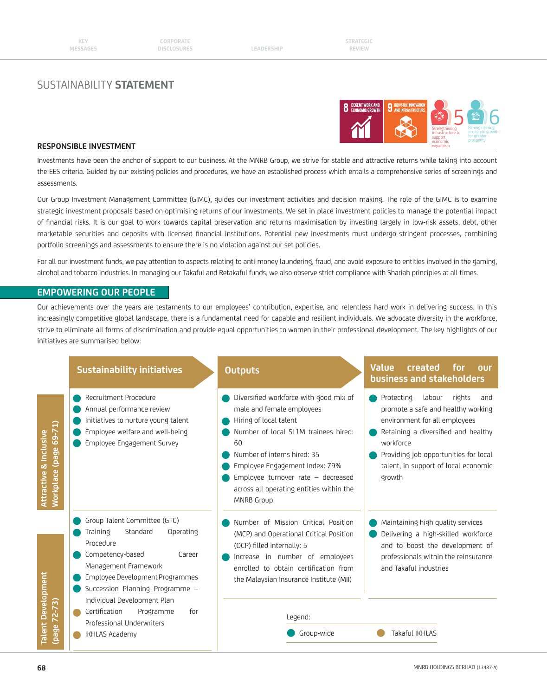

#### **RESPONSIBLE INVESTMENT**

Investments have been the anchor of support to our business. At the MNRB Group, we strive for stable and attractive returns while taking into account the EES criteria. Guided by our existing policies and procedures, we have an established process which entails a comprehensive series of screenings and assessments.

Our Group Investment Management Committee (GIMC), guides our investment activities and decision making. The role of the GIMC is to examine strategic investment proposals based on optimising returns of our investments. We set in place investment policies to manage the potential impact of financial risks. It is our goal to work towards capital preservation and returns maximisation by investing largely in low-risk assets, debt, other marketable securities and deposits with licensed financial institutions. Potential new investments must undergo stringent processes, combining portfolio screenings and assessments to ensure there is no violation against our set policies.

For all our investment funds, we pay attention to aspects relating to anti-money laundering, fraud, and avoid exposure to entities involved in the gaming, alcohol and tobacco industries. In managing our Takaful and Retakaful funds, we also observe strict compliance with Shariah principles at all times.

### **EMPOWERING OUR PEOPLE**

Our achievements over the years are testaments to our employees' contribution, expertise, and relentless hard work in delivering success. In this increasingly competitive global landscape, there is a fundamental need for capable and resilient individuals. We advocate diversity in the workforce, strive to eliminate all forms of discrimination and provide equal opportunities to women in their professional development. The key highlights of our initiatives are summarised below:

|                                                            | <b>Sustainability initiatives</b>                                                                                                                                                                                                         | <b>Outputs</b>                                                                                                                                                                                                                                                                                                      | <b>Value</b><br>created<br>for<br>our<br>business and stakeholders                                                                                                                                                                                          |
|------------------------------------------------------------|-------------------------------------------------------------------------------------------------------------------------------------------------------------------------------------------------------------------------------------------|---------------------------------------------------------------------------------------------------------------------------------------------------------------------------------------------------------------------------------------------------------------------------------------------------------------------|-------------------------------------------------------------------------------------------------------------------------------------------------------------------------------------------------------------------------------------------------------------|
| (page 69-71)<br>Attractive & Inclusive<br><b>Workplace</b> | Recruitment Procedure<br>Annual performance review<br>Initiatives to nurture young talent<br>Employee welfare and well-being<br>Employee Engagement Survey                                                                                | Diversified workforce with good mix of<br>male and female employees<br>Hiring of local talent<br>Number of local SL1M trainees hired:<br>60<br>Number of interns hired: 35<br>Employee Engagement Index: 79%<br>Employee turnover rate - decreased<br>across all operating entities within the<br><b>MNRB Group</b> | Protecting<br>labour<br>rights<br>and<br>promote a safe and healthy working<br>environment for all employees<br>Retaining a diversified and healthy<br>workforce<br>Providing job opportunities for local<br>talent, in support of local economic<br>growth |
| <b>Talent Development</b>                                  | Group Talent Committee (GTC)<br>Operating<br>Training<br>Standard<br>Procedure<br>Competency-based<br>Career<br>Management Framework<br>Employee Development Programmes<br>Succession Planning Programme -<br>Individual Development Plan | Number of Mission Critical Position<br>(MCP) and Operational Critical Position<br>(OCP) filled internally: 5<br>Increase in number of employees<br>enrolled to obtain certification from<br>the Malaysian Insurance Institute (MII)                                                                                 | Maintaining high quality services<br>Delivering a high-skilled workforce<br>and to boost the development of<br>professionals within the reinsurance<br>and Takaful industries                                                                               |
| $72 - 73$                                                  | Certification<br>for<br>Programme<br>Professional Underwriters                                                                                                                                                                            | Legend:                                                                                                                                                                                                                                                                                                             |                                                                                                                                                                                                                                                             |
| (page)                                                     | <b>IKHLAS Academy</b>                                                                                                                                                                                                                     | Group-wide                                                                                                                                                                                                                                                                                                          | Takaful IKHLAS                                                                                                                                                                                                                                              |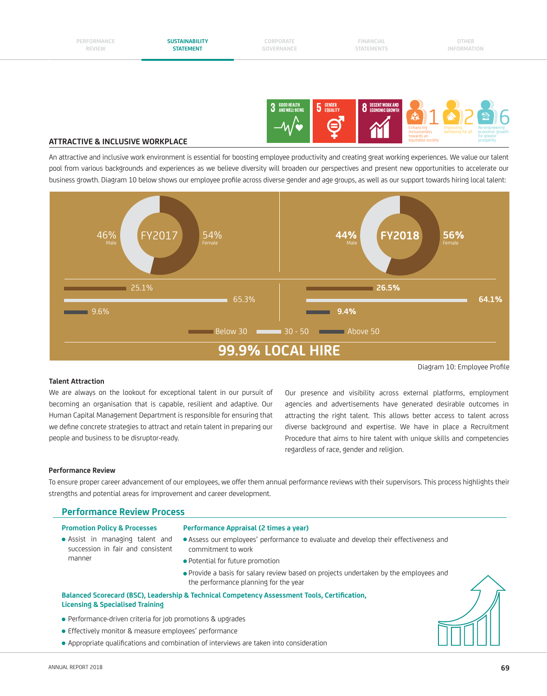

#### **ATTRACTIVE & INCLUSIVE WORKPLACE**

An attractive and inclusive work environment is essential for boosting employee productivity and creating great working experiences. We value our talent pool from various backgrounds and experiences as we believe diversity will broaden our perspectives and present new opportunities to accelerate our business growth. Diagram 10 below shows our employee profile across diverse gender and age groups, as well as our support towards hiring local talent:



#### **Talent Attraction**

We are always on the lookout for exceptional talent in our pursuit of becoming an organisation that is capable, resilient and adaptive. Our Human Capital Management Department is responsible for ensuring that we define concrete strategies to attract and retain talent in preparing our people and business to be disruptor-ready.

Our presence and visibility across external platforms, employment agencies and advertisements have generated desirable outcomes in attracting the right talent. This allows better access to talent across diverse background and expertise. We have in place a Recruitment Procedure that aims to hire talent with unique skills and competencies regardless of race, gender and religion.

#### **Performance Review**

To ensure proper career advancement of our employees, we offer them annual performance reviews with their supervisors. This process highlights their strengths and potential areas for improvement and career development.

|--|

#### **Promotion Policy & Processes Performance Appraisal (2 times a year)**

- Assist in managing talent and succession in fair and consistent manner
- Assess our employees' performance to evaluate and develop their effectiveness and commitment to work
- Potential for future promotion
- Provide a basis for salary review based on projects undertaken by the employees and the performance planning for the year

#### **Balanced Scorecard (BSC), Leadership & Technical Competency Assessment Tools, Certification, Licensing & Specialised Training**

- Performance-driven criteria for job promotions & upgrades
- **•** Effectively monitor & measure employees' performance
- Appropriate qualifications and combination of interviews are taken into consideration

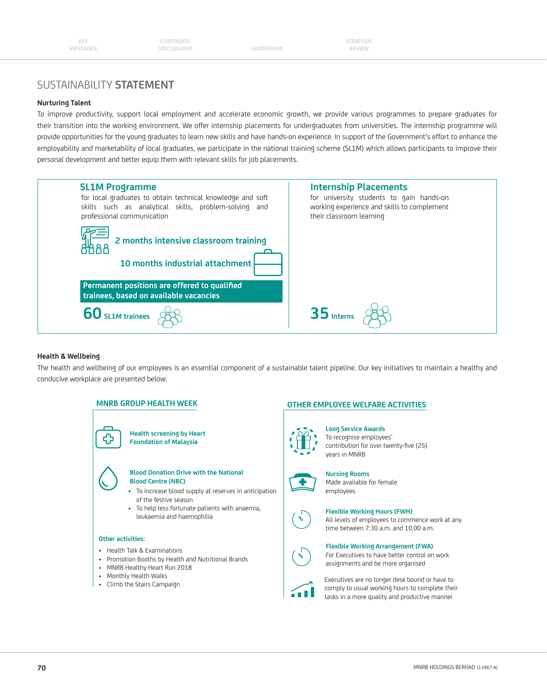#### **Nurturing Talent**

To improve productivity, support local employment and accelerate economic growth, we provide various programmes to prepare graduates for their transition into the working environment. We offer internship placements for undergraduates from universities. The internship programme will provide opportunities for the young graduates to learn new skills and have hands-on experience. In support of the Government's effort to enhance the employability and marketability of local graduates, we participate in the national training scheme (SL1M) which allows participants to improve their personal development and better equip them with relevant skills for job placements.



#### **Health & Wellbeing**

The health and wellbeing of our employees is an essential component of a sustainable talent pipeline. Our key initiatives to maintain a healthy and conducive workplace are presented below:

#### **MNRB GROUP HEALTH WEEK**



- Health Talk & Examinations
- Promotion Booths by Health and Nutritional Brands
- MNRB Healthy Heart Run 2018
- Monthly Health Walks
- Climb the Stairs Campaign

#### **OTHER EMPLOYEE WELFARE ACTIVITIES**

#### **Long Service Awards** To recognise employees' contribution for over twenty-five (25) years in MNRB



**Nursing Rooms** Made available for female employees

#### **Flexible Working Hours (FWH)**

All levels of employees to commence work at any time between 7:30 a.m. and 10.00 a.m.

#### **Flexible Working Arrangement (FWA)** For Executives to have better control on work assignments and be more organised



Executives are no longer desk bound or have to comply to usual working hours to complete their tasks in a more quality and productive manner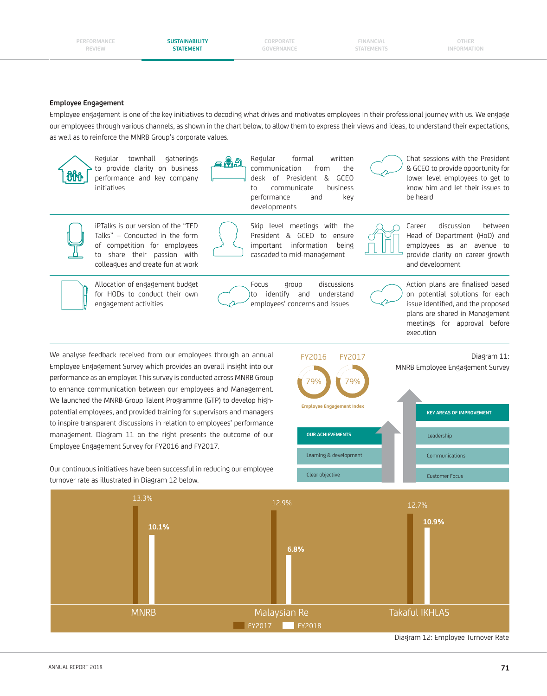**CORPORATE GOVERNANCE**

**FINANCIAL STATEMENTS**

**OTHER INFORMATION**

#### **Employee Engagement**

Employee engagement is one of the key initiatives to decoding what drives and motivates employees in their professional journey with us. We engage our employees through various channels, as shown in the chart below, to allow them to express their views and ideas, to understand their expectations, as well as to reinforce the MNRB Group's corporate values.



Regular townhall gatherings to provide clarity on business performance and key company initiatives



Regular formal written communication from the desk of President & GCEO to communicate business performance and key developments



Chat sessions with the President & GCEO to provide opportunity for lower level employees to get to know him and let their issues to be heard



iPTalks is our version of the "TED Talks" – Conducted in the form of competition for employees to share their passion with colleagues and create fun at work

Allocation of engagement budget for HODs to conduct their own engagement activities



Skip level meetings with the President & GCEO to ensure important information being cascaded to mid-management

Focus group discussions to identify and understand employees' concerns and issues



Head of Department (HoD) and employees as an avenue to provide clarity on career growth and development

Career discussion between



Action plans are finalised based on potential solutions for each issue identified, and the proposed plans are shared in Management meetings for approval before execution

We analyse feedback received from our employees through an annual Employee Engagement Survey which provides an overall insight into our performance as an employer. This survey is conducted across MNRB Group to enhance communication between our employees and Management. We launched the MNRB Group Talent Programme (GTP) to develop highpotential employees, and provided training for supervisors and managers to inspire transparent discussions in relation to employees' performance management. Diagram 11 on the right presents the outcome of our Employee Engagement Survey for FY2016 and FY2017.

Our continuous initiatives have been successful in reducing our employee turnover rate as illustrated in Diagram 12 below.



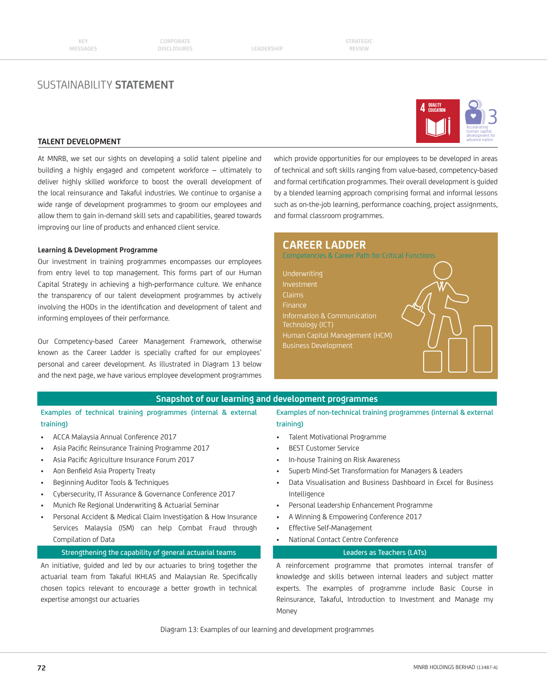

#### **TALENT DEVELOPMENT**

At MNRB, we set our sights on developing a solid talent pipeline and building a highly engaged and competent workforce – ultimately to deliver highly skilled workforce to boost the overall development of the local reinsurance and Takaful industries. We continue to organise a wide range of development programmes to groom our employees and allow them to gain in-demand skill sets and capabilities, geared towards improving our line of products and enhanced client service.

#### **Learning & Development Programme**

Our investment in training programmes encompasses our employees from entry level to top management. This forms part of our Human Capital Strategy in achieving a high-performance culture. We enhance the transparency of our talent development programmes by actively involving the HODs in the identification and development of talent and informing employees of their performance.

Our Competency-based Career Management Framework, otherwise known as the Career Ladder is specially crafted for our employees' personal and career development. As illustrated in Diagram 13 below and the next page, we have various employee development programmes which provide opportunities for our employees to be developed in areas of technical and soft skills ranging from value-based, competency-based and formal certification programmes. Their overall development is guided by a blended learning approach comprising formal and informal lessons such as on-the-job learning, performance coaching, project assignments, and formal classroom programmes.

### **CAREER LADDER**

Competencies & Career Path for Critical Functions

Underwriting Investment Claims Finance Technology (ICT) Human Capital Management (HCM) Business Development

#### **Snapshot of our learning and development programmes**

Examples of technical training programmes (internal & external training)

- ACCA Malaysia Annual Conference 2017
- Asia Pacific Reinsurance Training Programme 2017
- Asia Pacific Agriculture Insurance Forum 2017
- Aon Benfield Asia Property Treaty
- Beginning Auditor Tools & Techniques
- Cybersecurity, IT Assurance & Governance Conference 2017
- Munich Re Regional Underwriting & Actuarial Seminar
- Personal Accident & Medical Claim Investigation & How Insurance Services Malaysia (ISM) can help Combat Fraud through Compilation of Data

#### Strengthening the capability of general actuarial teams Leaders as Teachers (LATs)

An initiative, guided and led by our actuaries to bring together the actuarial team from Takaful IKHLAS and Malaysian Re. Specifically chosen topics relevant to encourage a better growth in technical expertise amongst our actuaries

Examples of non-technical training programmes (internal & external training)

- Talent Motivational Programme
- BEST Customer Service
- In-house Training on Risk Awareness
- Superb Mind-Set Transformation for Managers & Leaders
- Data Visualisation and Business Dashboard in Excel for Business Intelligence
- Personal Leadership Enhancement Programme
- A Winning & Empowering Conference 2017
- Effective Self-Management
- National Contact Centre Conference

A reinforcement programme that promotes internal transfer of knowledge and skills between internal leaders and subject matter experts. The examples of programme include Basic Course in Reinsurance, Takaful, Introduction to Investment and Manage my Money

Diagram 13: Examples of our learning and development programmes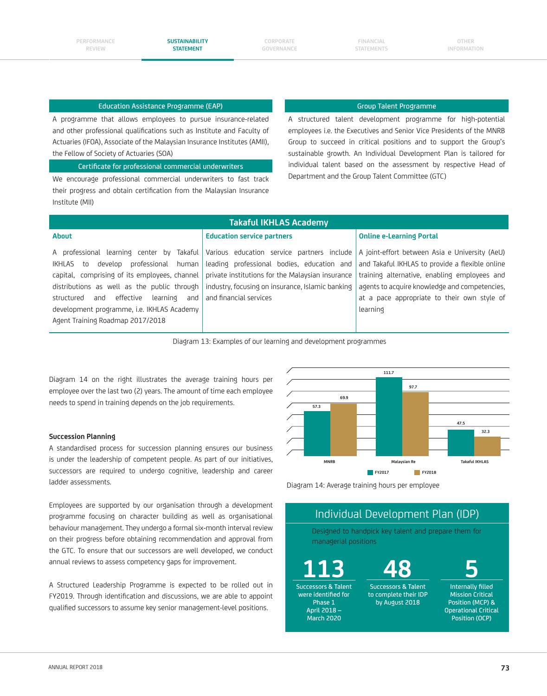**CORPORATE GOVERNANCE**

#### Education Assistance Programme (EAP) Group Talent Programme

A programme that allows employees to pursue insurance-related and other professional qualifications such as Institute and Faculty of Actuaries (IFOA), Associate of the Malaysian Insurance Institutes (AMII), the Fellow of Society of Actuaries (SOA)

Certificate for professional commercial underwriters

We encourage professional commercial underwriters to fast track their progress and obtain certification from the Malaysian Insurance Institute (MII)

A structured talent development programme for high-potential employees i.e. the Executives and Senior Vice Presidents of the MNRB Group to succeed in critical positions and to support the Group's sustainable growth. An Individual Development Plan is tailored for individual talent based on the assessment by respective Head of Department and the Group Talent Committee (GTC)

### **Takaful IKHLAS Academy**

#### **Education service partners**

#### **Online e-Learning Portal**

A professional learning center by Takaful IKHLAS to develop professional human capital, comprising of its employees, channel distributions as well as the public through structured and effective learning and development programme, i.e. IKHLAS Academy Agent Training Roadmap 2017/2018

Various education service partners include leading professional bodies, education and private institutions for the Malaysian insurance industry, focusing on insurance, Islamic banking and financial services

A joint-effort between Asia e University (AeU) and Takaful IKHLAS to provide a flexible online training alternative, enabling employees and agents to acquire knowledge and competencies, at a pace appropriate to their own style of learning

Diagram 13: Examples of our learning and development programmes

Diagram 14 on the right illustrates the average training hours per employee over the last two (2) years. The amount of time each employee needs to spend in training depends on the job requirements.

#### **Succession Planning**

**About**

A standardised process for succession planning ensures our business is under the leadership of competent people. As part of our initiatives, successors are required to undergo cognitive, leadership and career ladder assessments.

Employees are supported by our organisation through a development programme focusing on character building as well as organisational behaviour management. They undergo a formal six-month interval review on their progress before obtaining recommendation and approval from the GTC. To ensure that our successors are well developed, we conduct annual reviews to assess competency gaps for improvement.

A Structured Leadership Programme is expected to be rolled out in FY2019. Through identification and discussions, we are able to appoint qualified successors to assume key senior management-level positions.



Diagram 14: Average training hours per employee

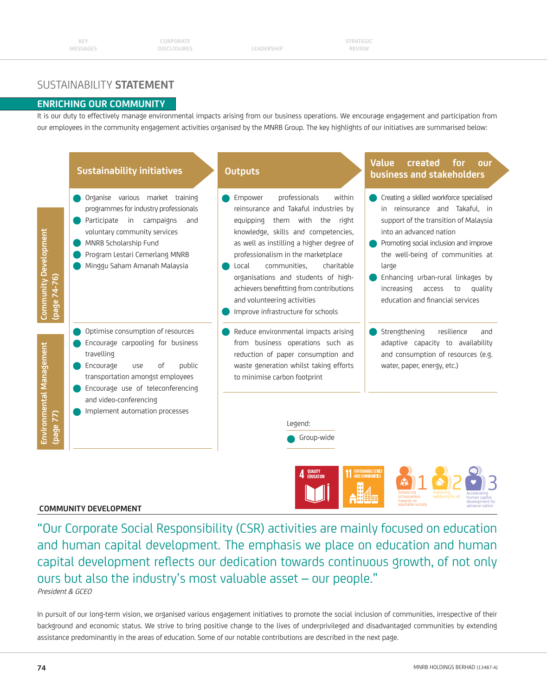## **ENRICHING OUR COMMUNITY**

It is our duty to effectively manage environmental impacts arising from our business operations. We encourage engagement and participation from our employees in the community engagement activities organised by the MNRB Group. The key highlights of our initiatives are summarised below:



#### **COMMUNITY DEVELOPMENT**

"Our Corporate Social Responsibility (CSR) activities are mainly focused on education and human capital development. The emphasis we place on education and human capital development reflects our dedication towards continuous growth, of not only ours but also the industry's most valuable asset – our people." President & GCEO

In pursuit of our long-term vision, we organised various engagement initiatives to promote the social inclusion of communities, irrespective of their background and economic status. We strive to bring positive change to the lives of underprivileged and disadvantaged communities by extending assistance predominantly in the areas of education. Some of our notable contributions are described in the next page.

advance nation

equitable society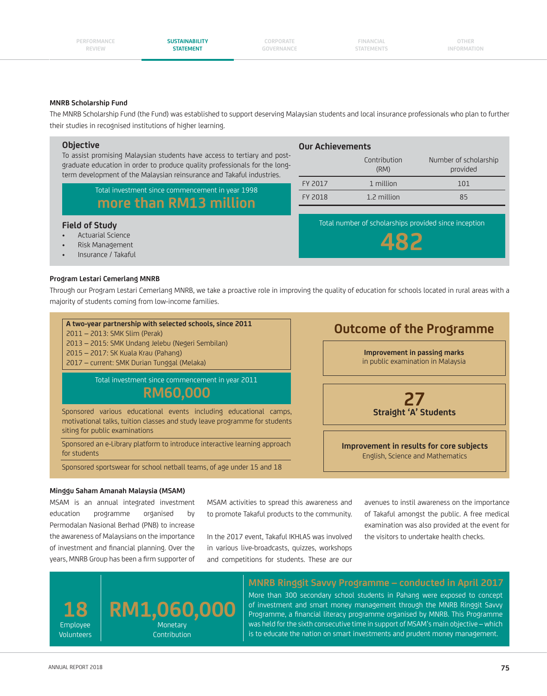**CORPORATE GOVERNANCE**

**FINANCIAL STATEMENTS**

> Contribution (RM)

**Our Achievements**

Number of scholarship provided

#### **MNRB Scholarship Fund**

The MNRB Scholarship Fund (the Fund) was established to support deserving Malaysian students and local insurance professionals who plan to further their studies in recognised institutions of higher learning.

#### **Objective**

To assist promising Malaysian students have access to tertiary and postgraduate education in order to produce quality professionals for the longterm development of the Malaysian reinsurance and Takaful industries.

> Total investment since commencement in year 1998 more than RM13 million

#### **Field of Study**

- Actuarial Science
- anagement
- Insurance / Takaful

## **Program Lestari Cemerlang MNRB**

Through our Program Lestari Cemerlang MNRB, we take a proactive role in improving the quality of education for schools located in rural areas with a majority of students coming from low-income families.

#### **A two-year partnership with selected schools, since 2011**

2011 – 2013: SMK Slim (Perak)

2013 – 2015: SMK Undang Jelebu (Negeri Sembilan)

2015 – 2017: SK Kuala Krau (Pahang)

2017 – current: SMK Durian Tunggal (Melaka)

Total investment since commencement in year 2011

## **RM60,000**

Sponsored various educational events including educational camps, motivational talks, tuition classes and study leave programme for students siting for public examinations

Sponsored an e-Library platform to introduce interactive learning approach for students

Sponsored sportswear for school netball teams, of age under 15 and 18

# **Improvement in passing marks**  in public examination in Malaysia **27 Straight 'A' Students Outcome of the Programme**

**Improvement in results for core subjects**  English, Science and Mathematics

#### **Minggu Saham Amanah Malaysia (MSAM)**

MSAM is an annual integrated investment education programme organised by Permodalan Nasional Berhad (PNB) to increase the awareness of Malaysians on the importance of investment and financial planning. Over the years, MNRB Group has been a firm supporter of MSAM activities to spread this awareness and to promote Takaful products to the community.

In the 2017 event, Takaful IKHLAS was involved in various live-broadcasts, quizzes, workshops and competitions for students. These are our

avenues to instil awareness on the importance of Takaful amongst the public. A free medical examination was also provided at the event for the visitors to undertake health checks.



### **MNRB Ringgit Savvy Programme – conducted in April 2017**

More than 300 secondary school students in Pahang were exposed to concept of investment and smart money management through the MNRB Ringgit Savvy Programme, a financial literacy programme organised by MNRB. This Programme was held for the sixth consecutive time in support of MSAM's main objective – which is to educate the nation on smart investments and prudent money management.

|  | nctual |  |
|--|--------|--|
|  | Risk M |  |

| FY 2017 | 1 million                                                    |    |
|---------|--------------------------------------------------------------|----|
| FY 2018 | 1.2 million                                                  | 85 |
|         | Total number of scholarships provided since inception<br>482 |    |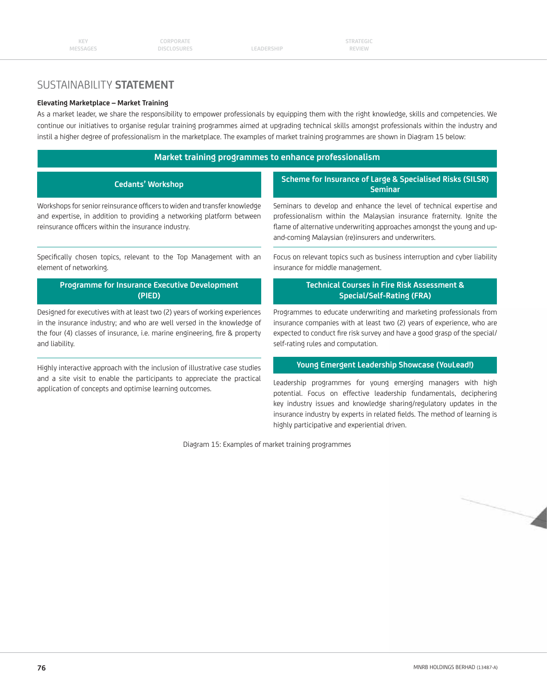elem

## SUSTAINABILITY **STATEMENT**

#### **Elevating Marketplace – Market Training**

As a market leader, we share the responsibility to empower professionals by equipping them with the right knowledge, skills and competencies. We continue our initiatives to organise regular training programmes aimed at upgrading technical skills amongst professionals within the industry and instil a higher degree of professionalism in the marketplace. The examples of market training programmes are shown in Diagram 15 below:

#### **Market training programmes to enhance professionalism**

| Scheme for Insurance of Large & Specialised Risks (SILSR)<br><b>Seminar</b>                                                                                                                                                                                                    |
|--------------------------------------------------------------------------------------------------------------------------------------------------------------------------------------------------------------------------------------------------------------------------------|
| Seminars to develop and enhance the level of technical expertise and<br>professionalism within the Malaysian insurance fraternity. Ignite the<br>flame of alternative underwriting approaches amongst the young and up-<br>and-coming Malaysian (re)insurers and underwriters. |
| Focus on relevant topics such as business interruption and cyber liability<br>insurance for middle management.                                                                                                                                                                 |
| Workshops for senior reinsurance officers to widen and transfer knowledge<br>and expertise, in addition to providing a networking platform between<br>Specifically chosen topics, relevant to the Top Management with an                                                       |

#### **Programme for Insurance Executive Development (PIED)**

Designed for executives with at least two (2) years of working experiences in the insurance industry; and who are well versed in the knowledge of the four (4) classes of insurance, i.e. marine engineering, fire & property and liability.

Highly interactive approach with the inclusion of illustrative case studies and a site visit to enable the participants to appreciate the practical application of concepts and optimise learning outcomes.

### **Technical Courses in Fire Risk Assessment & Special/Self-Rating (FRA)**

Programmes to educate underwriting and marketing professionals from insurance companies with at least two (2) years of experience, who are expected to conduct fire risk survey and have a good grasp of the special/ self-rating rules and computation.

### **Young Emergent Leadership Showcase (YouLead!)**

Leadership programmes for young emerging managers with high potential. Focus on effective leadership fundamentals, deciphering key industry issues and knowledge sharing/regulatory updates in the insurance industry by experts in related fields. The method of learning is highly participative and experiential driven.

Diagram 15: Examples of market training programmes